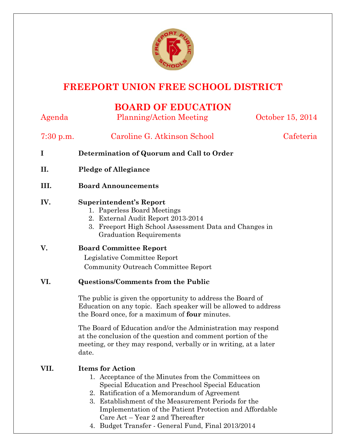

# **FREEPORT UNION FREE SCHOOL DISTRICT**

## **BOARD OF EDUCATION**

| Agenda      | <b>Planning/Action Meeting</b>                                                                                                                                                                                                                                                                                                                                                                                        | October 15, 2014 |
|-------------|-----------------------------------------------------------------------------------------------------------------------------------------------------------------------------------------------------------------------------------------------------------------------------------------------------------------------------------------------------------------------------------------------------------------------|------------------|
| $7:30$ p.m. | Caroline G. Atkinson School                                                                                                                                                                                                                                                                                                                                                                                           | Cafeteria        |
| I           | Determination of Quorum and Call to Order                                                                                                                                                                                                                                                                                                                                                                             |                  |
| II.         | <b>Pledge of Allegiance</b>                                                                                                                                                                                                                                                                                                                                                                                           |                  |
| III.        | <b>Board Announcements</b>                                                                                                                                                                                                                                                                                                                                                                                            |                  |
| IV.         | <b>Superintendent's Report</b><br>1. Paperless Board Meetings<br>2. External Audit Report 2013-2014<br>3. Freeport High School Assessment Data and Changes in<br><b>Graduation Requirements</b>                                                                                                                                                                                                                       |                  |
| V.          | <b>Board Committee Report</b><br>Legislative Committee Report<br>Community Outreach Committee Report                                                                                                                                                                                                                                                                                                                  |                  |
| VI.         | <b>Questions/Comments from the Public</b>                                                                                                                                                                                                                                                                                                                                                                             |                  |
|             | The public is given the opportunity to address the Board of<br>Education on any topic. Each speaker will be allowed to address<br>the Board once, for a maximum of <b>four</b> minutes.                                                                                                                                                                                                                               |                  |
|             | The Board of Education and/or the Administration may respond<br>at the conclusion of the question and comment portion of the<br>meeting, or they may respond, verbally or in writing, at a later<br>date.                                                                                                                                                                                                             |                  |
| VII.        | <b>Items for Action</b><br>1. Acceptance of the Minutes from the Committees on<br>Special Education and Preschool Special Education<br>2. Ratification of a Memorandum of Agreement<br>3. Establishment of the Measurement Periods for the<br>Implementation of the Patient Protection and Affordable<br>Care Act – Year 2 and Thereafter<br>$D_{rad}$ and Theoreton Concrete Final $E_{rad}$ $D_{rad}$ $0.019/0.014$ |                  |

4. Budget Transfer - General Fund, Final 2013/2014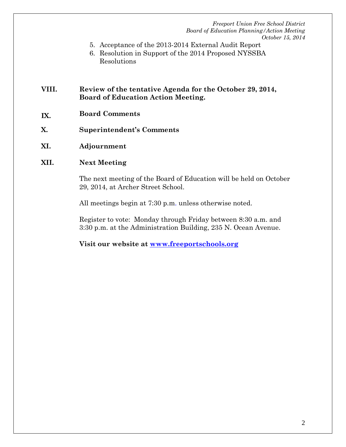- 5. Acceptance of the 2013-2014 External Audit Report
- 6. Resolution in Support of the 2014 Proposed NYSSBA Resolutions

## **VIII. Review of the tentative Agenda for the October 29, 2014, Board of Education Action Meeting.**

- **IX. Board Comments**
- **X. Superintendent's Comments**
- **XI. Adjournment**

### **XII. Next Meeting**

The next meeting of the Board of Education will be held on October 29, 2014, at Archer Street School.

All meetings begin at 7:30 p.m. unless otherwise noted.

Register to vote: Monday through Friday between 8:30 a.m. and 3:30 p.m. at the Administration Building, 235 N. Ocean Avenue.

**Visit our website at [www.freeportschools.org](http://www.freeportschools.org/)**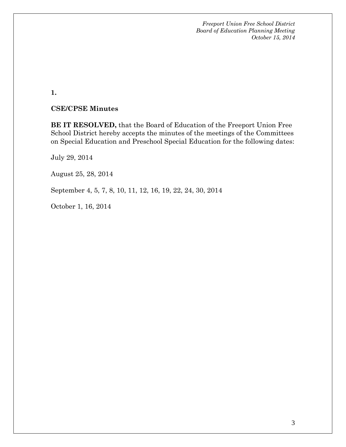**1.**

#### **CSE/CPSE Minutes**

**BE IT RESOLVED,** that the Board of Education of the Freeport Union Free School District hereby accepts the minutes of the meetings of the Committees on Special Education and Preschool Special Education for the following dates:

July 29, 2014

August 25, 28, 2014

September 4, 5, 7, 8, 10, 11, 12, 16, 19, 22, 24, 30, 2014

October 1, 16, 2014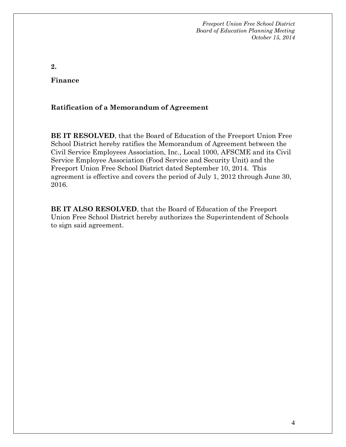**2.**

**Finance**

## **Ratification of a Memorandum of Agreement**

**BE IT RESOLVED**, that the Board of Education of the Freeport Union Free School District hereby ratifies the Memorandum of Agreement between the Civil Service Employees Association, Inc., Local 1000, AFSCME and its Civil Service Employee Association (Food Service and Security Unit) and the Freeport Union Free School District dated September 10, 2014. This agreement is effective and covers the period of July 1, 2012 through June 30, 2016.

**BE IT ALSO RESOLVED**, that the Board of Education of the Freeport Union Free School District hereby authorizes the Superintendent of Schools to sign said agreement.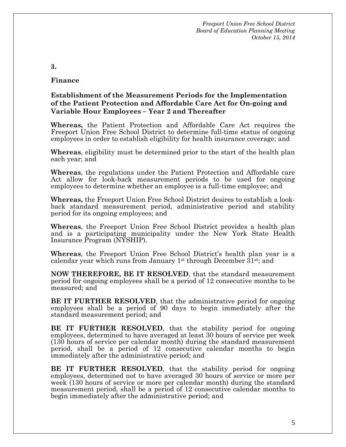**3.** 

#### **Finance**

#### **Establishment of the Measurement Periods for the Implementation of the Patient Protection and Affordable Care Act for On-going and Variable Hour Employees – Year 2 and Thereafter**

**Whereas,** the Patient Protection and Affordable Care Act requires the Freeport Union Free School District to determine full-time status of ongoing employees in order to establish eligibility for health insurance coverage; and

**Whereas**, eligibility must be determined prior to the start of the health plan each year; and

**Whereas**, the regulations under the Patient Protection and Affordable care Act allow for look-back measurement periods to be used for ongoing employees to determine whether an employee is a full-time employee; and

**Whereas,** the Freeport Union Free School District desires to establish a lookback standard measurement period, administrative period and stability period for its ongoing employees; and

**Whereas**, the Freeport Union Free School District provides a health plan and is a participating municipality under the New York State Health Insurance Program (NYSHIP).

**Whereas**, the Freeport Union Free School District's health plan year is a calendar year which runs from January 1st through December 31st; and

**NOW THEREFORE, BE IT RESOLVED**, that the standard measurement period for ongoing employees shall be a period of 12 consecutive months to be measured; and

**BE IT FURTHER RESOLVED**, that the administrative period for ongoing employees shall be a period of 90 days to begin immediately after the standard measurement period; and

**BE IT FURTHER RESOLVED**, that the stability period for ongoing employees, determined to have averaged at least 30 hours of service per week (130 hours of service per calendar month) during the standard measurement period, shall be a period of 12 consecutive calendar months to begin immediately after the administrative period; and

**BE IT FURTHER RESOLVED**, that the stability period for ongoing employees, determined not to have averaged 30 hours of service or more per week (130 hours of service or more per calendar month) during the standard measurement period, shall be a period of 12 consecutive calendar months to begin immediately after the administrative period; and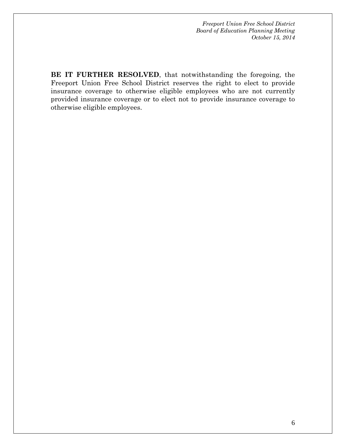**BE IT FURTHER RESOLVED**, that notwithstanding the foregoing, the Freeport Union Free School District reserves the right to elect to provide insurance coverage to otherwise eligible employees who are not currently provided insurance coverage or to elect not to provide insurance coverage to otherwise eligible employees.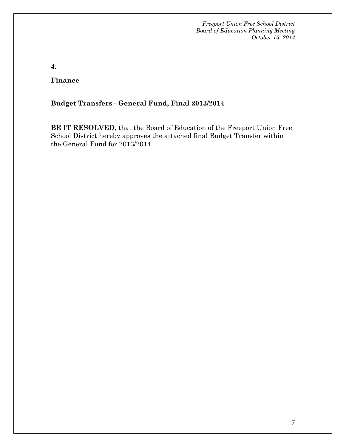**4.**

**Finance**

## **Budget Transfers - General Fund, Final 2013/2014**

**BE IT RESOLVED,** that the Board of Education of the Freeport Union Free School District hereby approves the attached final Budget Transfer within the General Fund for 2013/2014.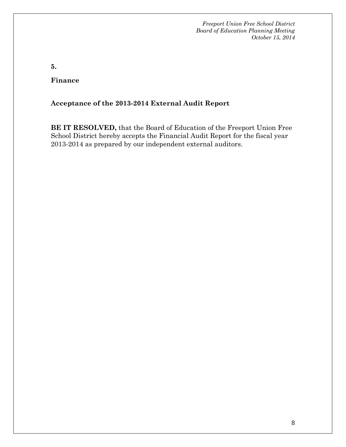**5.**

**Finance**

## **Acceptance of the 2013-2014 External Audit Report**

**BE IT RESOLVED,** that the Board of Education of the Freeport Union Free School District hereby accepts the Financial Audit Report for the fiscal year 2013-2014 as prepared by our independent external auditors.